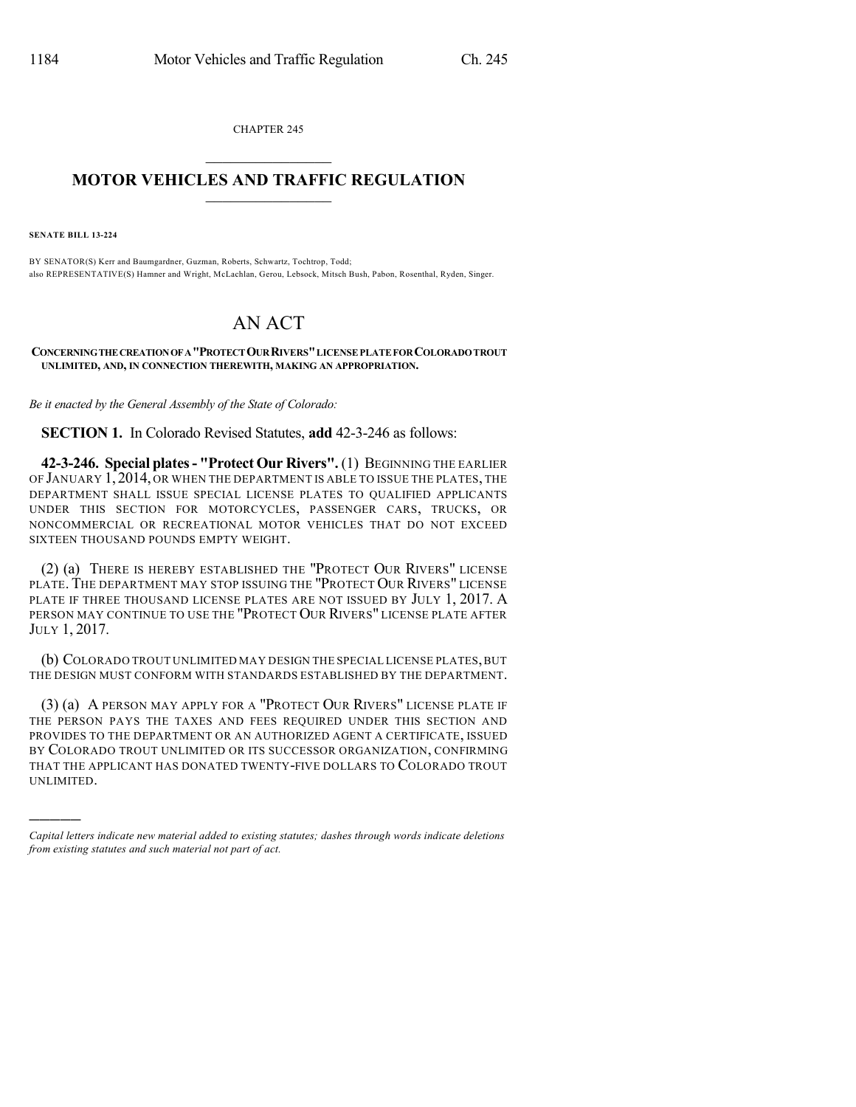CHAPTER 245  $\overline{\phantom{a}}$  . The set of the set of the set of the set of the set of the set of the set of the set of the set of the set of the set of the set of the set of the set of the set of the set of the set of the set of the set o

## **MOTOR VEHICLES AND TRAFFIC REGULATION**  $\frac{1}{2}$  ,  $\frac{1}{2}$  ,  $\frac{1}{2}$  ,  $\frac{1}{2}$  ,  $\frac{1}{2}$  ,  $\frac{1}{2}$  ,  $\frac{1}{2}$

**SENATE BILL 13-224**

)))))

BY SENATOR(S) Kerr and Baumgardner, Guzman, Roberts, Schwartz, Tochtrop, Todd; also REPRESENTATIVE(S) Hamner and Wright, McLachlan, Gerou, Lebsock, Mitsch Bush, Pabon, Rosenthal, Ryden, Singer.

## AN ACT

**CONCERNINGTHECREATIONOFA"PROTECTOURRIVERS"LICENSEPLATEFORCOLORADOTROUT UNLIMITED, AND, IN CONNECTION THEREWITH, MAKING AN APPROPRIATION.**

*Be it enacted by the General Assembly of the State of Colorado:*

**SECTION 1.** In Colorado Revised Statutes, **add** 42-3-246 as follows:

**42-3-246. Special plates- "Protect Our Rivers".** (1) BEGINNING THE EARLIER OF JANUARY 1, 2014, OR WHEN THE DEPARTMENT IS ABLE TO ISSUE THE PLATES, THE DEPARTMENT SHALL ISSUE SPECIAL LICENSE PLATES TO QUALIFIED APPLICANTS UNDER THIS SECTION FOR MOTORCYCLES, PASSENGER CARS, TRUCKS, OR NONCOMMERCIAL OR RECREATIONAL MOTOR VEHICLES THAT DO NOT EXCEED SIXTEEN THOUSAND POUNDS EMPTY WEIGHT.

(2) (a) THERE IS HEREBY ESTABLISHED THE "PROTECT OUR RIVERS" LICENSE PLATE. THE DEPARTMENT MAY STOP ISSUING THE "PROTECT OUR RIVERS" LICENSE PLATE IF THREE THOUSAND LICENSE PLATES ARE NOT ISSUED BY JULY 1, 2017. A PERSON MAY CONTINUE TO USE THE "PROTECT OUR RIVERS" LICENSE PLATE AFTER JULY 1, 2017.

(b) COLORADO TROUT UNLIMITED MAY DESIGN THE SPECIAL LICENSE PLATES,BUT THE DESIGN MUST CONFORM WITH STANDARDS ESTABLISHED BY THE DEPARTMENT.

(3) (a) A PERSON MAY APPLY FOR A "PROTECT OUR RIVERS" LICENSE PLATE IF THE PERSON PAYS THE TAXES AND FEES REQUIRED UNDER THIS SECTION AND PROVIDES TO THE DEPARTMENT OR AN AUTHORIZED AGENT A CERTIFICATE, ISSUED BY COLORADO TROUT UNLIMITED OR ITS SUCCESSOR ORGANIZATION, CONFIRMING THAT THE APPLICANT HAS DONATED TWENTY-FIVE DOLLARS TO COLORADO TROUT UNLIMITED.

*Capital letters indicate new material added to existing statutes; dashes through words indicate deletions from existing statutes and such material not part of act.*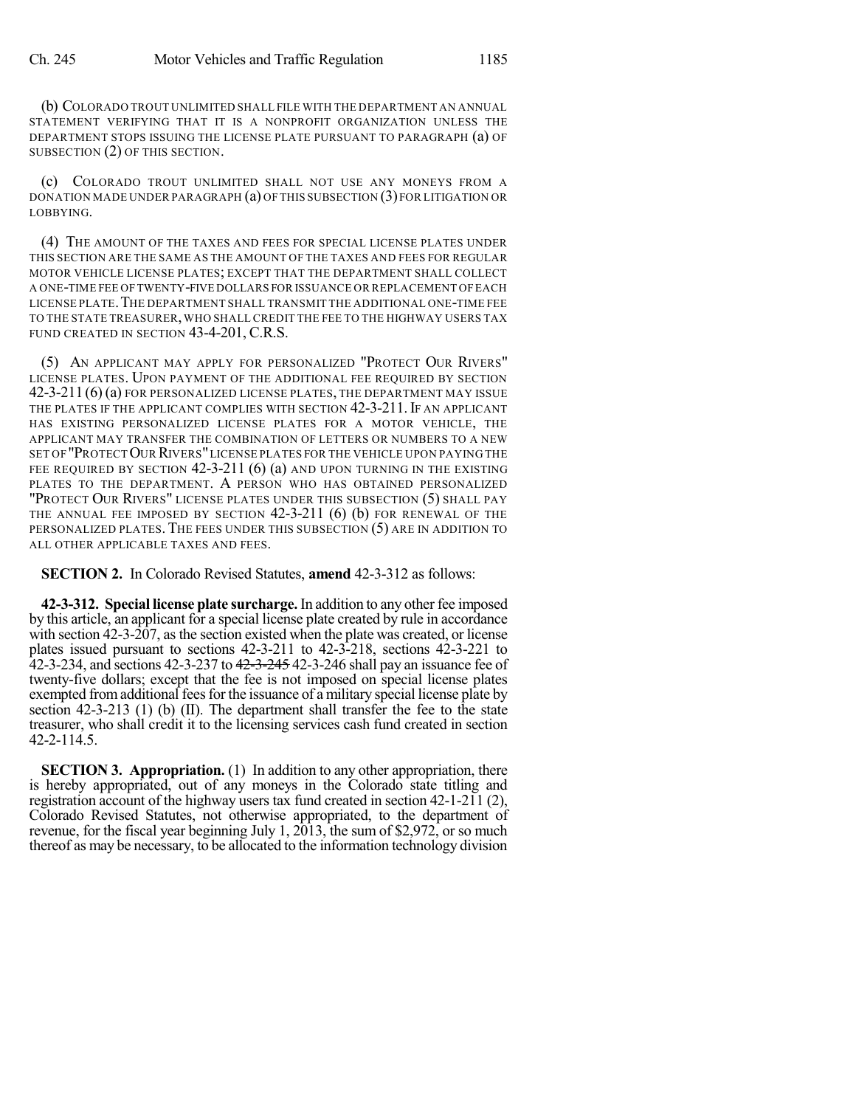(b) COLORADO TROUT UNLIMITED SHALL FILE WITH THE DEPARTMENT AN ANNUAL STATEMENT VERIFYING THAT IT IS A NONPROFIT ORGANIZATION UNLESS THE DEPARTMENT STOPS ISSUING THE LICENSE PLATE PURSUANT TO PARAGRAPH (a) OF SUBSECTION (2) OF THIS SECTION.

(c) COLORADO TROUT UNLIMITED SHALL NOT USE ANY MONEYS FROM A DONATION MADE UNDER PARAGRAPH (a) OF THIS SUBSECTION (3)FOR LITIGATION OR LOBBYING.

(4) THE AMOUNT OF THE TAXES AND FEES FOR SPECIAL LICENSE PLATES UNDER THIS SECTION ARE THE SAME AS THE AMOUNT OF THE TAXES AND FEES FOR REGULAR MOTOR VEHICLE LICENSE PLATES; EXCEPT THAT THE DEPARTMENT SHALL COLLECT A ONE-TIME FEE OF TWENTY-FIVE DOLLARS FOR ISSUANCE OR REPLACEMENT OF EACH LICENSE PLATE.THE DEPARTMENT SHALL TRANSMIT THE ADDITIONAL ONE-TIME FEE TO THE STATE TREASURER,WHO SHALL CREDIT THE FEE TO THE HIGHWAY USERS TAX FUND CREATED IN SECTION 43-4-201, C.R.S.

(5) AN APPLICANT MAY APPLY FOR PERSONALIZED "PROTECT OUR RIVERS" LICENSE PLATES. UPON PAYMENT OF THE ADDITIONAL FEE REQUIRED BY SECTION 42-3-211 (6) (a) FOR PERSONALIZED LICENSE PLATES, THE DEPARTMENT MAY ISSUE THE PLATES IF THE APPLICANT COMPLIES WITH SECTION 42-3-211. IF AN APPLICANT HAS EXISTING PERSONALIZED LICENSE PLATES FOR A MOTOR VEHICLE, THE APPLICANT MAY TRANSFER THE COMBINATION OF LETTERS OR NUMBERS TO A NEW SET OF "PROTECTOUR RIVERS"LICENSE PLATES FOR THE VEHICLE UPON PAYING THE FEE REQUIRED BY SECTION 42-3-211 (6) (a) AND UPON TURNING IN THE EXISTING PLATES TO THE DEPARTMENT. A PERSON WHO HAS OBTAINED PERSONALIZED "PROTECT OUR RIVERS" LICENSE PLATES UNDER THIS SUBSECTION (5) SHALL PAY THE ANNUAL FEE IMPOSED BY SECTION  $42-3-211$  (6) (b) FOR RENEWAL OF THE PERSONALIZED PLATES. THE FEES UNDER THIS SUBSECTION  $(5)$  are in addition to ALL OTHER APPLICABLE TAXES AND FEES.

**SECTION 2.** In Colorado Revised Statutes, **amend** 42-3-312 as follows:

**42-3-312. Special license plate surcharge.** In addition to any other fee imposed by this article, an applicant for a special license plate created by rule in accordance with section 42-3-207, asthe section existed when the plate was created, or license plates issued pursuant to sections 42-3-211 to 42-3-218, sections 42-3-221 to 42-3-234, and sections 42-3-237 to 4<del>2-3-245</del> 42-3-246 shall pay an issuance fee of twenty-five dollars; except that the fee is not imposed on special license plates exempted from additional fees for the issuance of a military special license plate by section 42-3-213 (1) (b) (II). The department shall transfer the fee to the state treasurer, who shall credit it to the licensing services cash fund created in section 42-2-114.5.

**SECTION 3. Appropriation.** (1) In addition to any other appropriation, there is hereby appropriated, out of any moneys in the Colorado state titling and registration account of the highway users tax fund created in section 42-1-211 (2), Colorado Revised Statutes, not otherwise appropriated, to the department of revenue, for the fiscal year beginning July 1, 2013, the sum of \$2,972, or so much thereof as may be necessary, to be allocated to the information technology division